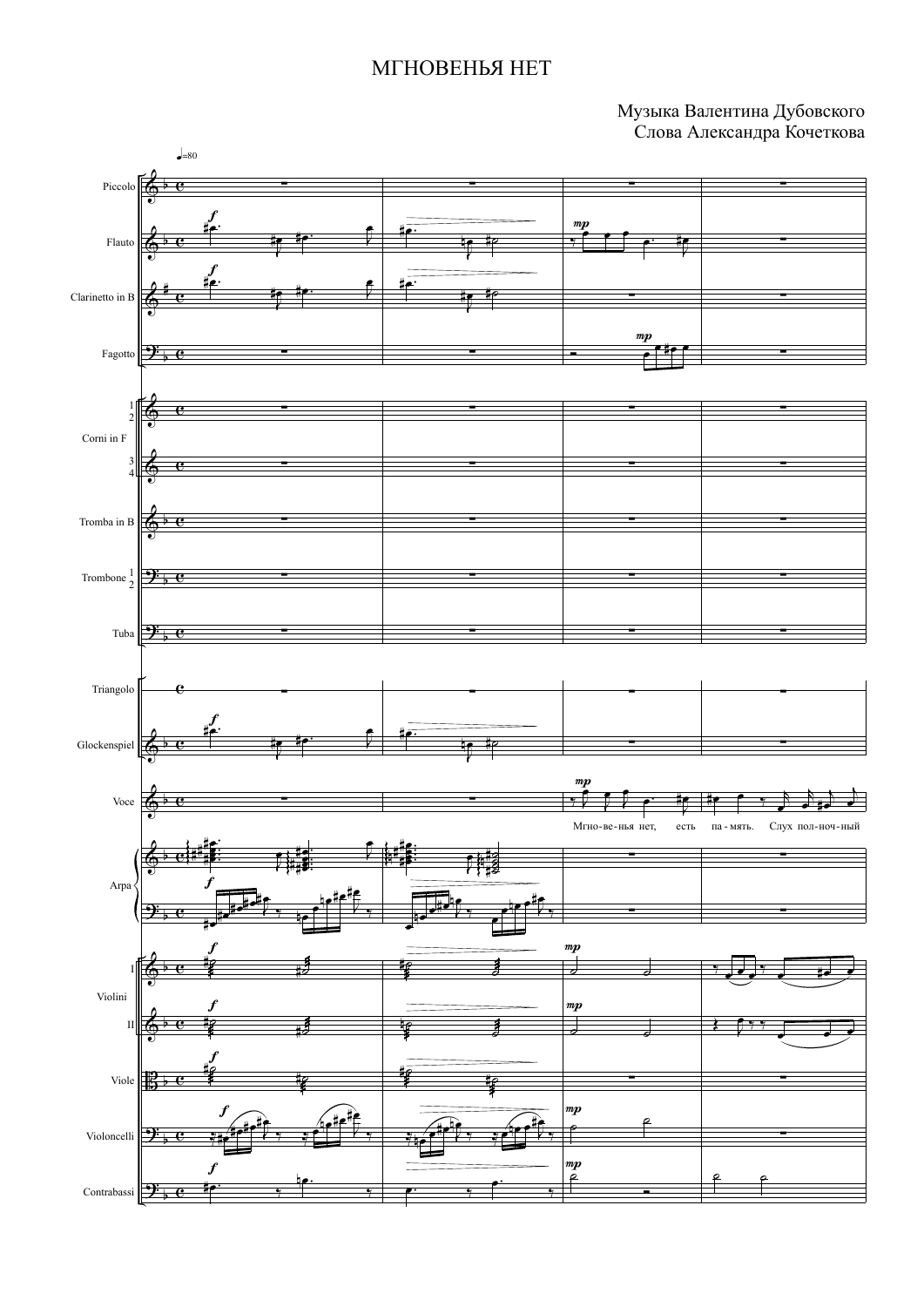## МГНОВЕНЬЯ НЕТ

Музыка Валентина Дубовского Слова Александра Кочеткова

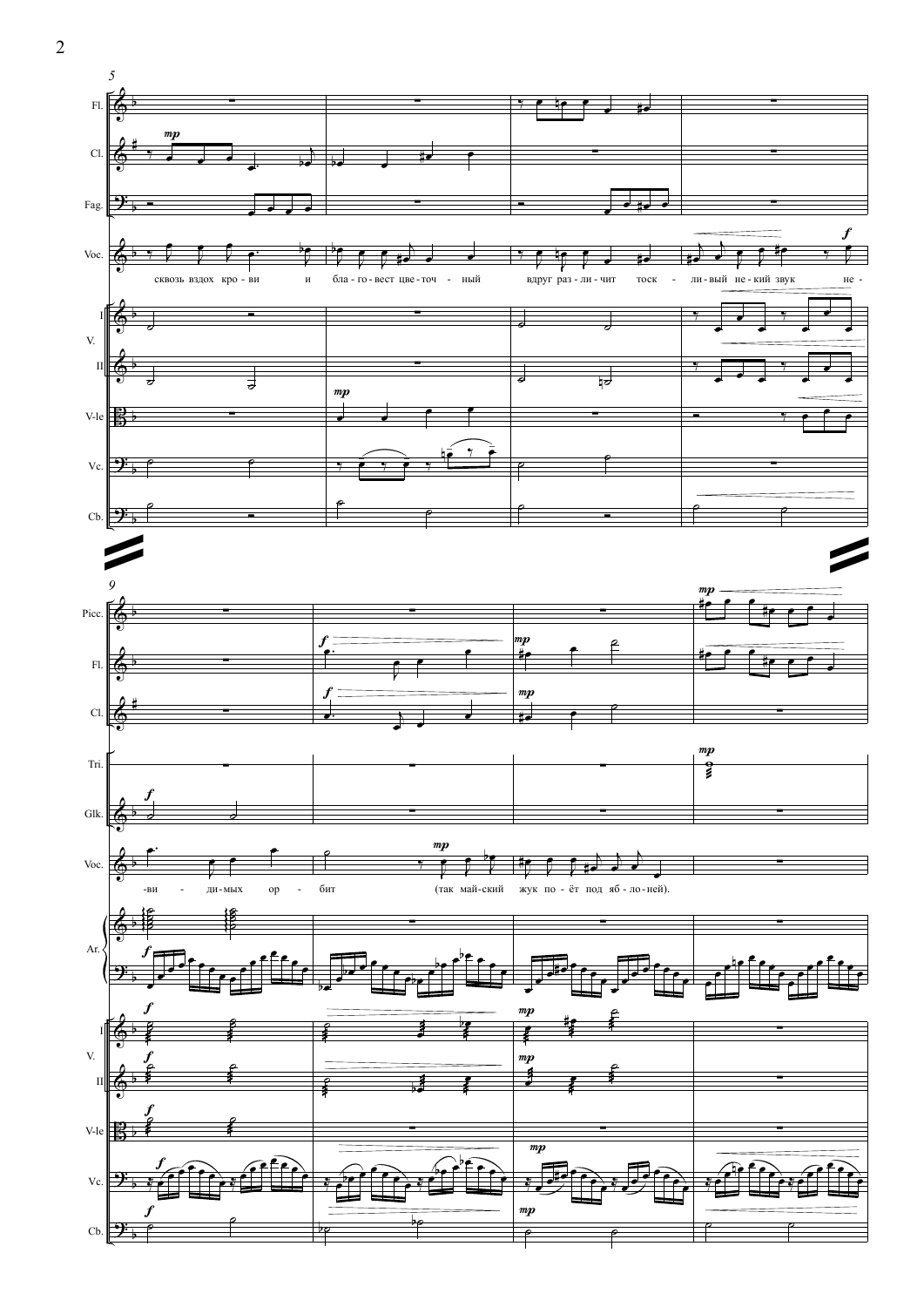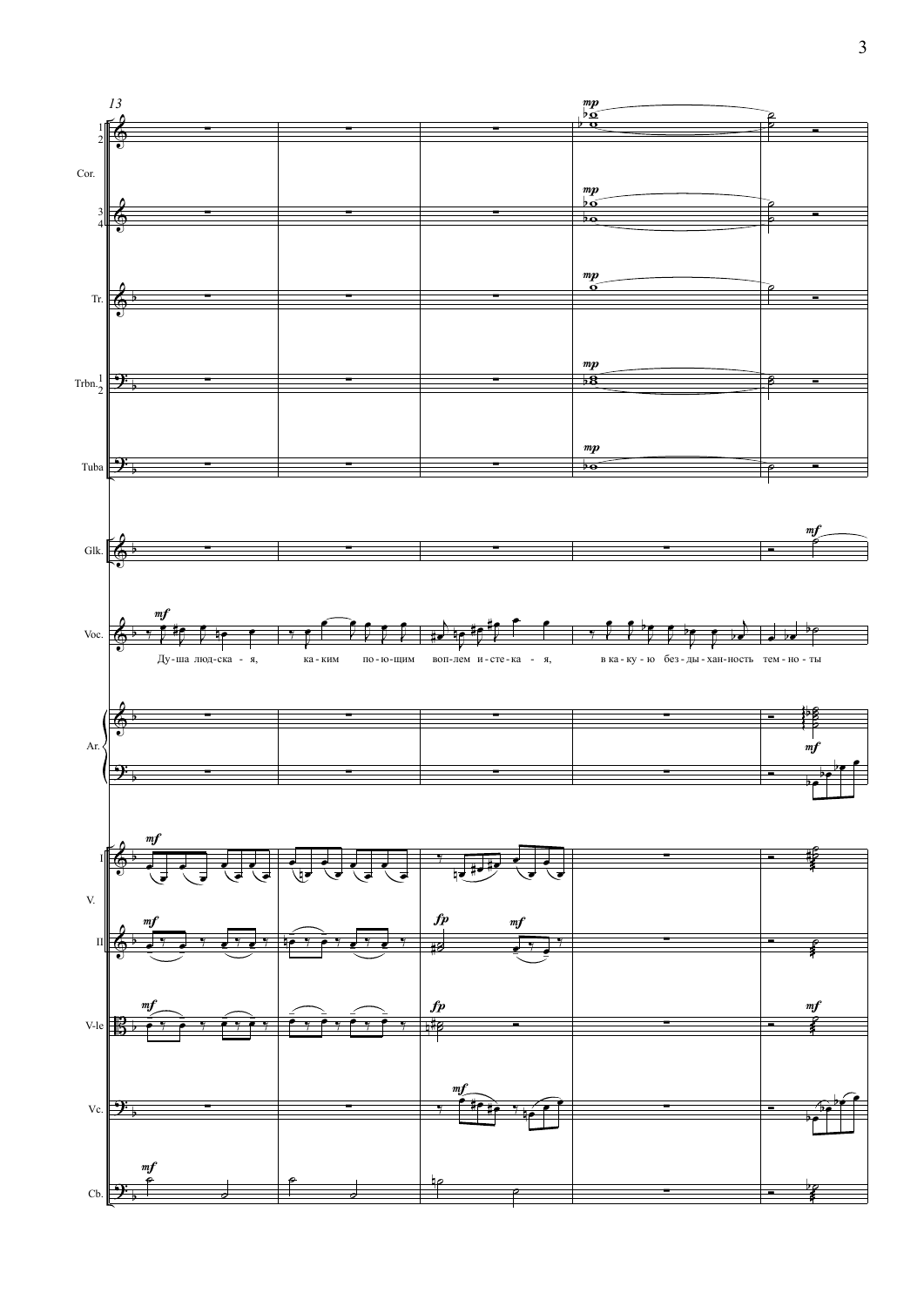